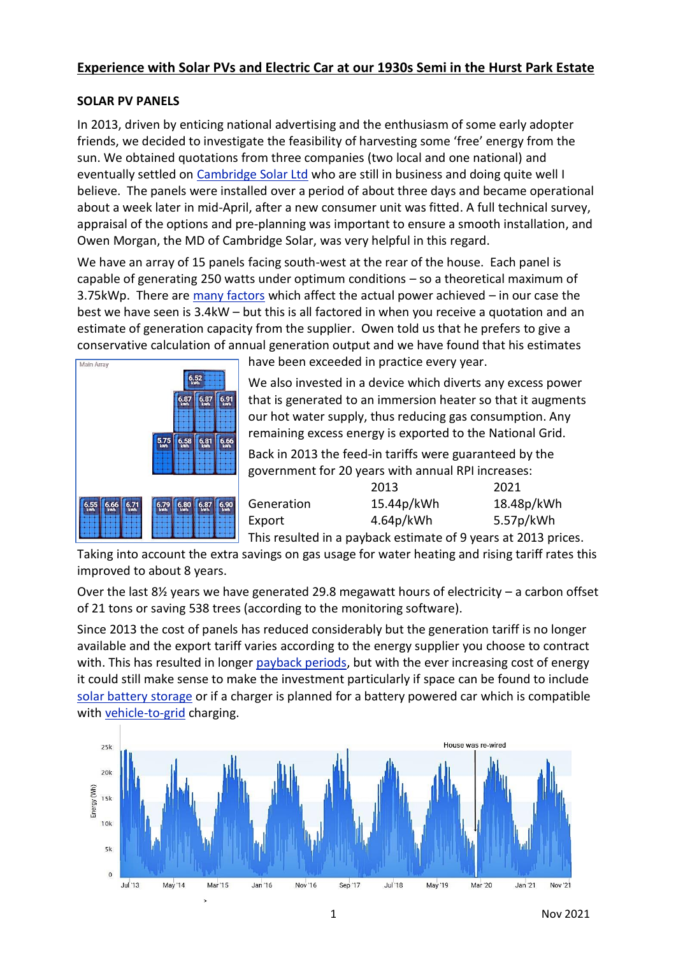## **Experience with Solar PVs and Electric Car at our 1930s Semi in the Hurst Park Estate**

## **SOLAR PV PANELS**

In 2013, driven by enticing national advertising and the enthusiasm of some early adopter friends, we decided to investigate the feasibility of harvesting some 'free' energy from the sun. We obtained quotations from three companies (two local and one national) and eventually settled on [Cambridge Solar Ltd](https://www.cambridge-solar.co.uk/) who are still in business and doing quite well I believe. The panels were installed over a period of about three days and became operational about a week later in mid-April, after a new consumer unit was fitted. A full technical survey, appraisal of the options and pre-planning was important to ensure a smooth installation, and Owen Morgan, the MD of Cambridge Solar, was very helpful in this regard.

We have an array of 15 panels facing south-west at the rear of the house. Each panel is capable of generating 250 watts under optimum conditions – so a theoretical maximum of 3.75kWp. There are [many factors](https://www.cambridge-solar.co.uk/solar-pv-cambridge) which affect the actual power achieved – in our case the best we have seen is 3.4kW – but this is all factored in when you receive a quotation and an estimate of generation capacity from the supplier. Owen told us that he prefers to give a conservative calculation of annual generation output and we have found that his estimates



have been exceeded in practice every year.

We also invested in a device which diverts any excess power that is generated to an immersion heater so that it augments our hot water supply, thus reducing gas consumption. Any remaining excess energy is exported to the National Grid.

Back in 2013 the feed-in tariffs were guaranteed by the government for 20 years with annual RPI increases:

|            | 2013                                                               | 2021       |
|------------|--------------------------------------------------------------------|------------|
| Generation | 15.44p/kWh                                                         | 18.48p/kWh |
| Export     | 4.64p/kWh                                                          | 5.57p/kWh  |
|            | ومنعور 2012 +وروموس مركبه وخوميناهم باموطنوم ورمث اومدان ومعروراته |            |

This resulted in a payback estimate of 9 years at 2013 prices.

Taking into account the extra savings on gas usage for water heating and rising tariff rates this improved to about 8 years.

Over the last  $8\frac{1}{2}$  years we have generated 29.8 megawatt hours of electricity – a carbon offset of 21 tons or saving 538 trees (according to the monitoring software).

Since 2013 the cost of panels has reduced considerably but the generation tariff is no longer available and the export tariff varies according to the energy supplier you choose to contract with. This has resulted in longer [payback periods,](https://www.moneysavingexpert.com/utilities/free-solar-panels/) but with the ever increasing cost of energy it could still make sense to make the investment particularly if space can be found to include [solar battery storage](https://www.which.co.uk/reviews/solar-panels/article/solar-panels/solar-panel-battery-storage-a2AfJ0s5tCyT) or if a charger is planned for a battery powered car which is compatible with [vehicle-to-grid](https://youtu.be/x0Oom69ZD9Y) charging.

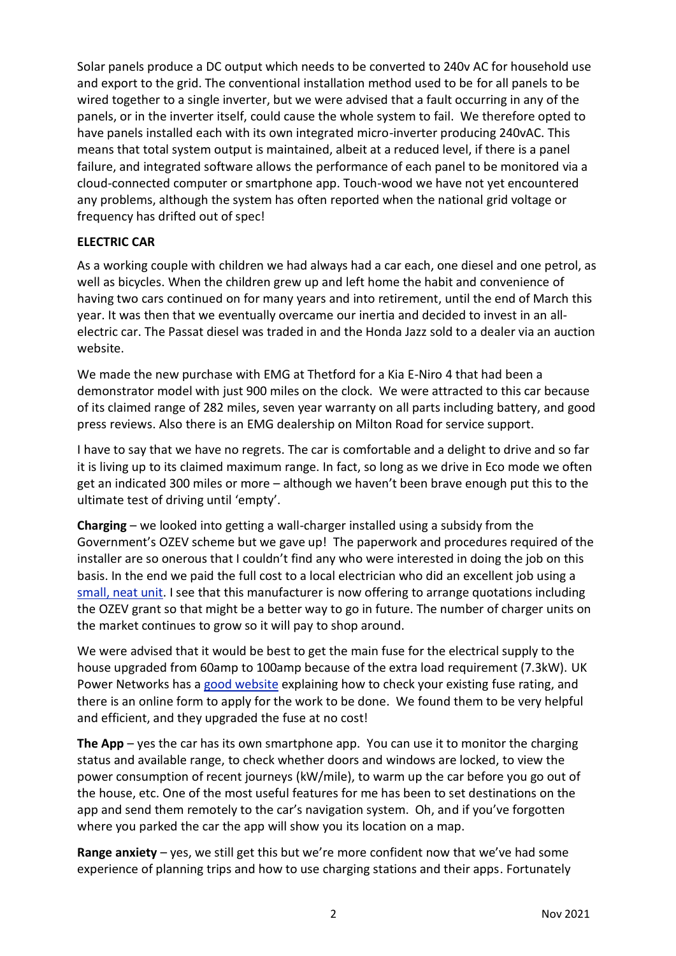Solar panels produce a DC output which needs to be converted to 240v AC for household use and export to the grid. The conventional installation method used to be for all panels to be wired together to a single inverter, but we were advised that a fault occurring in any of the panels, or in the inverter itself, could cause the whole system to fail. We therefore opted to have panels installed each with its own integrated micro-inverter producing 240vAC. This means that total system output is maintained, albeit at a reduced level, if there is a panel failure, and integrated software allows the performance of each panel to be monitored via a cloud-connected computer or smartphone app. Touch-wood we have not yet encountered any problems, although the system has often reported when the national grid voltage or frequency has drifted out of spec!

## **ELECTRIC CAR**

As a working couple with children we had always had a car each, one diesel and one petrol, as well as bicycles. When the children grew up and left home the habit and convenience of having two cars continued on for many years and into retirement, until the end of March this year. It was then that we eventually overcame our inertia and decided to invest in an allelectric car. The Passat diesel was traded in and the Honda Jazz sold to a dealer via an auction website.

We made the new purchase with EMG at Thetford for a Kia E-Niro 4 that had been a demonstrator model with just 900 miles on the clock. We were attracted to this car because of its claimed range of 282 miles, seven year warranty on all parts including battery, and good press reviews. Also there is an EMG dealership on Milton Road for service support.

I have to say that we have no regrets. The car is comfortable and a delight to drive and so far it is living up to its claimed maximum range. In fact, so long as we drive in Eco mode we often get an indicated 300 miles or more – although we haven't been brave enough put this to the ultimate test of driving until 'empty'.

**Charging** – we looked into getting a wall-charger installed using a subsidy from the Government's OZEV scheme but we gave up! The paperwork and procedures required of the installer are so onerous that I couldn't find any who were interested in doing the job on this basis. In the end we paid the full cost to a local electrician who did an excellent job using a [small, neat unit.](https://www.eocharging.com/eo-mini-pro-2) I see that this manufacturer is now offering to arrange quotations including the OZEV grant so that might be a better way to go in future. The number of charger units on the market continues to grow so it will pay to shop around.

We were advised that it would be best to get the main fuse for the electrical supply to the house upgraded from 60amp to 100amp because of the extra load requirement (7.3kW). UK Power Networks has a [good website](https://www.ukpowernetworks.co.uk/electricity/fuse-upgrade) explaining how to check your existing fuse rating, and there is an online form to apply for the work to be done. We found them to be very helpful and efficient, and they upgraded the fuse at no cost!

**The App** – yes the car has its own smartphone app. You can use it to monitor the charging status and available range, to check whether doors and windows are locked, to view the power consumption of recent journeys (kW/mile), to warm up the car before you go out of the house, etc. One of the most useful features for me has been to set destinations on the app and send them remotely to the car's navigation system. Oh, and if you've forgotten where you parked the car the app will show you its location on a map.

**Range anxiety** – yes, we still get this but we're more confident now that we've had some experience of planning trips and how to use charging stations and their apps. Fortunately